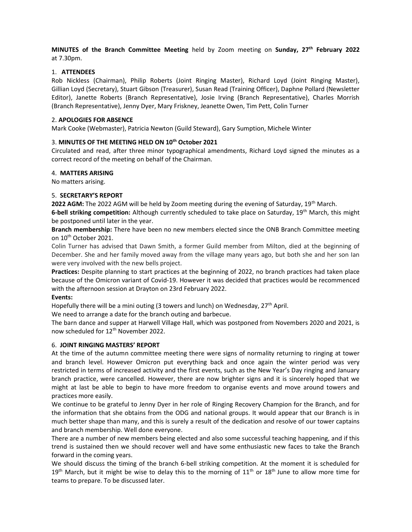MINUTES of the Branch Committee Meeting held by Zoom meeting on Sunday,  $27<sup>th</sup>$  February 2022 at 7.30pm.

### 1. ATTENDEES

Rob Nickless (Chairman), Philip Roberts (Joint Ringing Master), Richard Loyd (Joint Ringing Master), Gillian Loyd (Secretary), Stuart Gibson (Treasurer), Susan Read (Training Officer), Daphne Pollard (Newsletter Editor), Janette Roberts (Branch Representative), Josie Irving (Branch Representative), Charles Morrish (Branch Representative), Jenny Dyer, Mary Friskney, Jeanette Owen, Tim Pett, Colin Turner

### 2. APOLOGIES FOR ABSENCE

Mark Cooke (Webmaster), Patricia Newton (Guild Steward), Gary Sumption, Michele Winter

## 3. MINUTES OF THE MEETING HELD ON 10<sup>th</sup> October 2021

Circulated and read, after three minor typographical amendments, Richard Loyd signed the minutes as a correct record of the meeting on behalf of the Chairman.

### 4. MATTERS ARISING

No matters arising.

## 5. SECRETARY'S REPORT

2022 AGM: The 2022 AGM will be held by Zoom meeting during the evening of Saturday, 19<sup>th</sup> March.

6-bell striking competition: Although currently scheduled to take place on Saturday,  $19^{th}$  March, this might be postponed until later in the year.

Branch membership: There have been no new members elected since the ONB Branch Committee meeting on 10th October 2021.

Colin Turner has advised that Dawn Smith, a former Guild member from Milton, died at the beginning of December. She and her family moved away from the village many years ago, but both she and her son Ian were very involved with the new bells project.

Practices: Despite planning to start practices at the beginning of 2022, no branch practices had taken place because of the Omicron variant of Covid-19. However it was decided that practices would be recommenced with the afternoon session at Drayton on 23rd February 2022.

# Events:

Hopefully there will be a mini outing (3 towers and lunch) on Wednesday,  $27<sup>th</sup>$  April.

We need to arrange a date for the branch outing and barbecue.

The barn dance and supper at Harwell Village Hall, which was postponed from Novembers 2020 and 2021, is now scheduled for 12<sup>th</sup> November 2022.

# 6. JOINT RINGING MASTERS' REPORT

At the time of the autumn committee meeting there were signs of normality returning to ringing at tower and branch level. However Omicron put everything back and once again the winter period was very restricted in terms of increased activity and the first events, such as the New Year's Day ringing and January branch practice, were cancelled. However, there are now brighter signs and it is sincerely hoped that we might at last be able to begin to have more freedom to organise events and move around towers and practices more easily.

We continue to be grateful to Jenny Dyer in her role of Ringing Recovery Champion for the Branch, and for the information that she obtains from the ODG and national groups. It would appear that our Branch is in much better shape than many, and this is surely a result of the dedication and resolve of our tower captains and branch membership. Well done everyone.

There are a number of new members being elected and also some successful teaching happening, and if this trend is sustained then we should recover well and have some enthusiastic new faces to take the Branch forward in the coming years.

We should discuss the timing of the branch 6-bell striking competition. At the moment it is scheduled for 19<sup>th</sup> March, but it might be wise to delay this to the morning of  $11<sup>th</sup>$  or  $18<sup>th</sup>$  June to allow more time for teams to prepare. To be discussed later.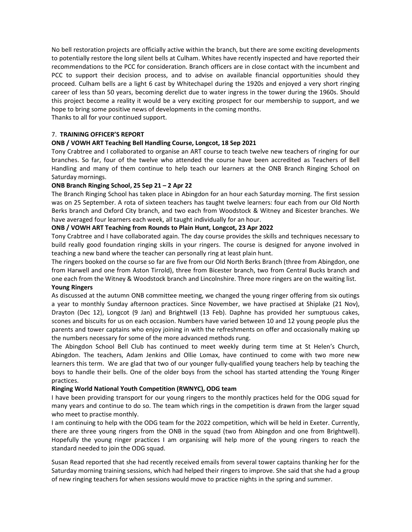No bell restoration projects are officially active within the branch, but there are some exciting developments to potentially restore the long silent bells at Culham. Whites have recently inspected and have reported their recommendations to the PCC for consideration. Branch officers are in close contact with the incumbent and PCC to support their decision process, and to advise on available financial opportunities should they proceed. Culham bells are a light 6 cast by Whitechapel during the 1920s and enjoyed a very short ringing career of less than 50 years, becoming derelict due to water ingress in the tower during the 1960s. Should this project become a reality it would be a very exciting prospect for our membership to support, and we hope to bring some positive news of developments in the coming months.

Thanks to all for your continued support.

# 7. TRAINING OFFICER'S REPORT

# ONB / VOWH ART Teaching Bell Handling Course, Longcot, 18 Sep 2021

Tony Crabtree and I collaborated to organise an ART course to teach twelve new teachers of ringing for our branches. So far, four of the twelve who attended the course have been accredited as Teachers of Bell Handling and many of them continue to help teach our learners at the ONB Branch Ringing School on Saturday mornings.

## ONB Branch Ringing School, 25 Sep 21 – 2 Apr 22

The Branch Ringing School has taken place in Abingdon for an hour each Saturday morning. The first session was on 25 September. A rota of sixteen teachers has taught twelve learners: four each from our Old North Berks branch and Oxford City branch, and two each from Woodstock & Witney and Bicester branches. We have averaged four learners each week, all taught individually for an hour.

## ONB / VOWH ART Teaching from Rounds to Plain Hunt, Longcot, 23 Apr 2022

Tony Crabtree and I have collaborated again. The day course provides the skills and techniques necessary to build really good foundation ringing skills in your ringers. The course is designed for anyone involved in teaching a new band where the teacher can personally ring at least plain hunt.

The ringers booked on the course so far are five from our Old North Berks Branch (three from Abingdon, one from Harwell and one from Aston Tirrold), three from Bicester branch, two from Central Bucks branch and one each from the Witney & Woodstock branch and Lincolnshire. Three more ringers are on the waiting list. Young Ringers

# As discussed at the autumn ONB committee meeting, we changed the young ringer offering from six outings a year to monthly Sunday afternoon practices. Since November, we have practised at Shiplake (21 Nov), Drayton (Dec 12), Longcot (9 Jan) and Brightwell (13 Feb). Daphne has provided her sumptuous cakes, scones and biscuits for us on each occasion. Numbers have varied between 10 and 12 young people plus the parents and tower captains who enjoy joining in with the refreshments on offer and occasionally making up the numbers necessary for some of the more advanced methods rung.

The Abingdon School Bell Club has continued to meet weekly during term time at St Helen's Church, Abingdon. The teachers, Adam Jenkins and Ollie Lomax, have continued to come with two more new learners this term. We are glad that two of our younger fully-qualified young teachers help by teaching the boys to handle their bells. One of the older boys from the school has started attending the Young Ringer practices.

### Ringing World National Youth Competition (RWNYC), ODG team

I have been providing transport for our young ringers to the monthly practices held for the ODG squad for many years and continue to do so. The team which rings in the competition is drawn from the larger squad who meet to practise monthly.

I am continuing to help with the ODG team for the 2022 competition, which will be held in Exeter. Currently, there are three young ringers from the ONB in the squad (two from Abingdon and one from Brightwell). Hopefully the young ringer practices I am organising will help more of the young ringers to reach the standard needed to join the ODG squad.

Susan Read reported that she had recently received emails from several tower captains thanking her for the Saturday morning training sessions, which had helped their ringers to improve. She said that she had a group of new ringing teachers for when sessions would move to practice nights in the spring and summer.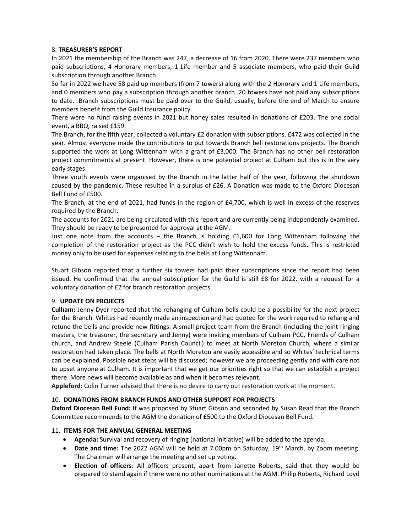### 8. TREASURER'S REPORT

In 2021 the membership of the Branch was 247, a decrease of 16 from 2020. There were 237 members who paid subscriptions, 4 Honorary members, 1 Life member and 5 associate members, who paid their Guild subscription through another Branch.

So far in 2022 we have 58 paid up members (from 7 towers) along with the 2 Honorary and 1 Life members, and 0 members who pay a subscription through another branch. 20 towers have not paid any subscriptions to date. Branch subscriptions must be paid over to the Guild, usually, before the end of March to ensure members benefit from the Guild Insurance policy.

There were no fund raising events in 2021 but honey sales resulted in donations of £203. The one social event, a BBQ, raised £159.

The Branch, for the fifth year, collected a voluntary £2 donation with subscriptions. £472 was collected in the year. Almost everyone made the contributions to put towards Branch bell restorations projects. The Branch supported the work at Long Wittenham with a grant of £3,000. The Branch has no other bell restoration project commitments at present. However, there is one potential project at Culham but this is in the very early stages.

Three youth events were organised by the Branch in the latter half of the year, following the shutdown caused by the pandemic. These resulted in a surplus of £26. A Donation was made to the Oxford Diocesan Bell Fund of £500.

The Branch, at the end of 2021, had funds in the region of £4,700, which is well in excess of the reserves required by the Branch.

The accounts for 2021 are being circulated with this report and are currently being independently examined. They should be ready to be presented for approval at the AGM.

Just one note from the accounts – the Branch is holding £1,600 for Long Wittenham following the completion of the restoration project as the PCC didn't wish to hold the excess funds. This is restricted money only to be used for expenses relating to the bells at Long Wittenham.

Stuart Gibson reported that a further six towers had paid their subscriptions since the report had been issued. He confirmed that the annual subscription for the Guild is still £8 for 2022, with a request for a voluntary donation of £2 for branch restoration projects.

### 9. UPDATE ON PROJECTS

Culham: Jenny Dyer reported that the rehanging of Culham bells could be a possibility for the next project for the Branch. Whites had recently made an inspection and had quoted for the work required to rehang and retune the bells and provide new fittings. A small project team from the Branch (including the joint ringing masters, the treasurer, the secretary and Jenny) were inviting members of Culham PCC, Friends of Culham church, and Andrew Steele (Culham Parish Council) to meet at North Moreton Church, where a similar restoration had taken place. The bells at North Moreton are easily accessible and so Whites' technical terms can be explained. Possible next steps will be discussed; however we are proceeding gently and with care not to upset anyone at Culham. It is important that we get our priorities right so that we can establish a project there. More news will become available as and when it becomes relevant.

Appleford: Colin Turner advised that there is no desire to carry out restoration work at the moment.

### 10. DONATIONS FROM BRANCH FUNDS AND OTHER SUPPORT FOR PROJECTS

Oxford Diocesan Bell Fund: It was proposed by Stuart Gibson and seconded by Susan Read that the Branch Committee recommends to the AGM the donation of £500 to the Oxford Diocesan Bell Fund.

### 11. ITEMS FOR THE ANNUAL GENERAL MEETING

- Agenda: Survival and recovery of ringing (national initiative) will be added to the agenda.
- Date and time: The 2022 AGM will be held at 7.00pm on Saturday, 19<sup>th</sup> March, by Zoom meeting. The Chairman will arrange the meeting and set up voting.
- Election of officers: All officers present, apart from Janette Roberts, said that they would be prepared to stand again if there were no other nominations at the AGM. Philip Roberts, Richard Loyd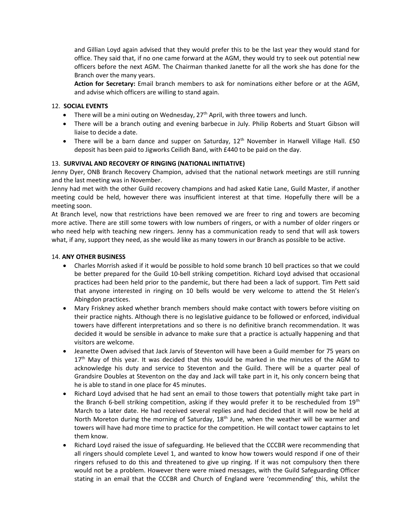and Gillian Loyd again advised that they would prefer this to be the last year they would stand for office. They said that, if no one came forward at the AGM, they would try to seek out potential new officers before the next AGM. The Chairman thanked Janette for all the work she has done for the Branch over the many years.

Action for Secretary: Email branch members to ask for nominations either before or at the AGM, and advise which officers are willing to stand again.

### 12. SOCIAL EVENTS

- **•** There will be a mini outing on Wednesday,  $27<sup>th</sup>$  April, with three towers and lunch.
- There will be a branch outing and evening barbecue in July. Philip Roberts and Stuart Gibson will liaise to decide a date.
- There will be a barn dance and supper on Saturday,  $12^{th}$  November in Harwell Village Hall. £50 deposit has been paid to Jigworks Ceilidh Band, with £440 to be paid on the day.

## 13. SURVIVAL AND RECOVERY OF RINGING (NATIONAL INITIATIVE)

Jenny Dyer, ONB Branch Recovery Champion, advised that the national network meetings are still running and the last meeting was in November.

Jenny had met with the other Guild recovery champions and had asked Katie Lane, Guild Master, if another meeting could be held, however there was insufficient interest at that time. Hopefully there will be a meeting soon.

At Branch level, now that restrictions have been removed we are freer to ring and towers are becoming more active. There are still some towers with low numbers of ringers, or with a number of older ringers or who need help with teaching new ringers. Jenny has a communication ready to send that will ask towers what, if any, support they need, as she would like as many towers in our Branch as possible to be active.

### 14. ANY OTHER BUSINESS

- Charles Morrish asked if it would be possible to hold some branch 10 bell practices so that we could be better prepared for the Guild 10-bell striking competition. Richard Loyd advised that occasional practices had been held prior to the pandemic, but there had been a lack of support. Tim Pett said that anyone interested in ringing on 10 bells would be very welcome to attend the St Helen's Abingdon practices.
- Mary Friskney asked whether branch members should make contact with towers before visiting on their practice nights. Although there is no legislative guidance to be followed or enforced, individual towers have different interpretations and so there is no definitive branch recommendation. It was decided it would be sensible in advance to make sure that a practice is actually happening and that visitors are welcome.
- Jeanette Owen advised that Jack Jarvis of Steventon will have been a Guild member for 75 years on 17<sup>th</sup> May of this year. It was decided that this would be marked in the minutes of the AGM to acknowledge his duty and service to Steventon and the Guild. There will be a quarter peal of Grandsire Doubles at Steventon on the day and Jack will take part in it, his only concern being that he is able to stand in one place for 45 minutes.
- Richard Loyd advised that he had sent an email to those towers that potentially might take part in the Branch 6-bell striking competition, asking if they would prefer it to be rescheduled from  $19<sup>th</sup>$ March to a later date. He had received several replies and had decided that it will now be held at North Moreton during the morning of Saturday,  $18<sup>th</sup>$  June, when the weather will be warmer and towers will have had more time to practice for the competition. He will contact tower captains to let them know.
- Richard Loyd raised the issue of safeguarding. He believed that the CCCBR were recommending that all ringers should complete Level 1, and wanted to know how towers would respond if one of their ringers refused to do this and threatened to give up ringing. If it was not compulsory then there would not be a problem. However there were mixed messages, with the Guild Safeguarding Officer stating in an email that the CCCBR and Church of England were 'recommending' this, whilst the